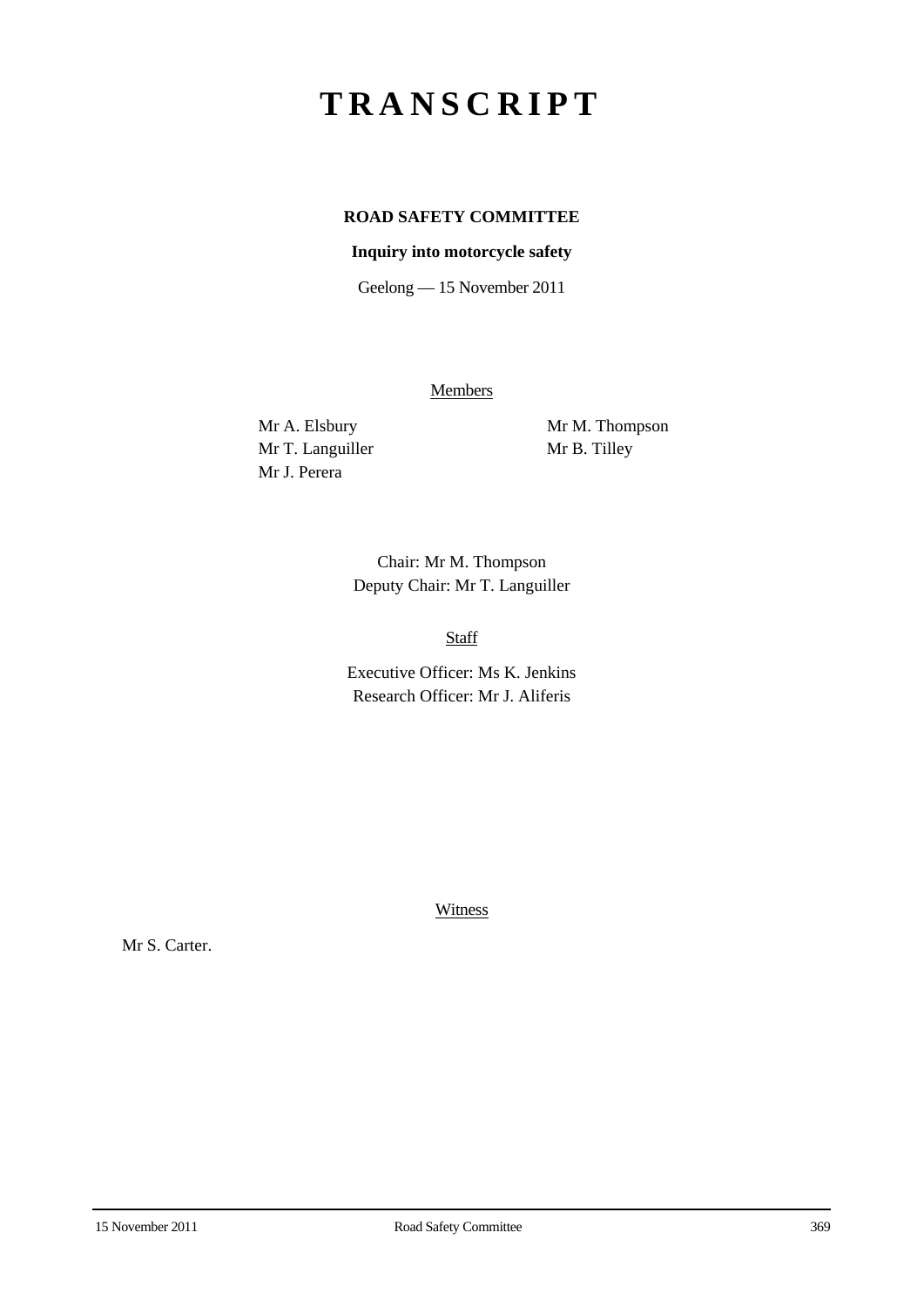# **TRANSCRIPT**

# **ROAD SAFETY COMMITTEE**

## **Inquiry into motorcycle safety**

Geelong — 15 November 2011

**Members** 

Mr T. Languiller Mr B. Tilley Mr J. Perera

Mr A. Elsbury Mr M. Thompson

Chair: Mr M. Thompson Deputy Chair: Mr T. Languiller

Staff

Executive Officer: Ms K. Jenkins Research Officer: Mr J. Aliferis

Witness

Mr S. Carter.